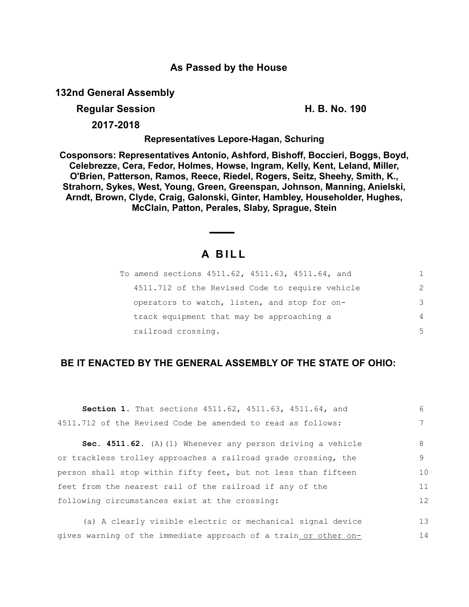### **As Passed by the House**

**132nd General Assembly**

**Regular Session H. B. No. 190**

**2017-2018**

**Representatives Lepore-Hagan, Schuring**

**Cosponsors: Representatives Antonio, Ashford, Bishoff, Boccieri, Boggs, Boyd, Celebrezze, Cera, Fedor, Holmes, Howse, Ingram, Kelly, Kent, Leland, Miller, O'Brien, Patterson, Ramos, Reece, Riedel, Rogers, Seitz, Sheehy, Smith, K., Strahorn, Sykes, West, Young, Green, Greenspan, Johnson, Manning, Anielski, Arndt, Brown, Clyde, Craig, Galonski, Ginter, Hambley, Householder, Hughes, McClain, Patton, Perales, Slaby, Sprague, Stein**

# **A B I L L**

| To amend sections 4511.62, 4511.63, 4511.64, and |               |
|--------------------------------------------------|---------------|
| 4511.712 of the Revised Code to require vehicle  | $\mathcal{L}$ |
| operators to watch, listen, and stop for on-     | 3             |
| track equipment that may be approaching a        | 4             |
| railroad crossing.                               | 5             |

## **BE IT ENACTED BY THE GENERAL ASSEMBLY OF THE STATE OF OHIO:**

| Section 1. That sections 4511.62, 4511.63, 4511.64, and        | 6  |
|----------------------------------------------------------------|----|
| 4511.712 of the Revised Code be amended to read as follows:    |    |
| Sec. 4511.62. (A) (1) Whenever any person driving a vehicle    | 8  |
| or trackless trolley approaches a railroad grade crossing, the | 9  |
| person shall stop within fifty feet, but not less than fifteen | 10 |
| feet from the nearest rail of the railroad if any of the       | 11 |
| following circumstances exist at the crossing:                 | 12 |
| (a) A clearly visible electric or mechanical signal device     | 13 |

14

gives warning of the immediate approach of a train or other on-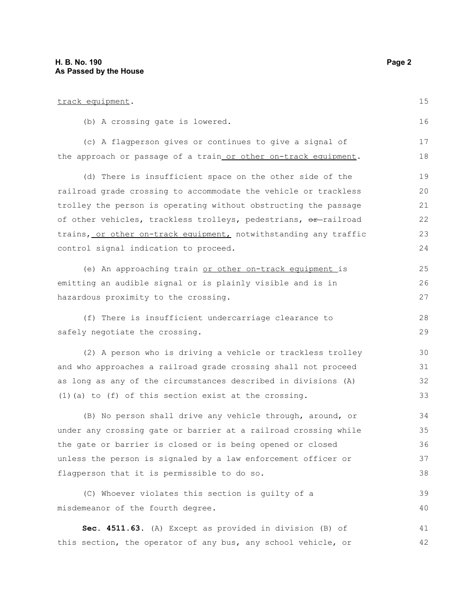| track equipment.                                                 | 15 |
|------------------------------------------------------------------|----|
| (b) A crossing gate is lowered.                                  | 16 |
| (c) A flagperson gives or continues to give a signal of          | 17 |
| the approach or passage of a train or other on-track equipment.  | 18 |
| (d) There is insufficient space on the other side of the         | 19 |
| railroad grade crossing to accommodate the vehicle or trackless  | 20 |
| trolley the person is operating without obstructing the passage  | 21 |
| of other vehicles, trackless trolleys, pedestrians, or-railroad  | 22 |
| trains, or other on-track equipment, notwithstanding any traffic | 23 |
| control signal indication to proceed.                            | 24 |
| (e) An approaching train or other on-track equipment is          | 25 |
| emitting an audible signal or is plainly visible and is in       | 26 |
| hazardous proximity to the crossing.                             | 27 |
| (f) There is insufficient undercarriage clearance to             | 28 |
| safely negotiate the crossing.                                   | 29 |
| (2) A person who is driving a vehicle or trackless trolley       | 30 |
| and who approaches a railroad grade crossing shall not proceed   | 31 |
| as long as any of the circumstances described in divisions (A)   | 32 |
| $(1)$ (a) to $(f)$ of this section exist at the crossing.        | 33 |
| (B) No person shall drive any vehicle through, around, or        | 34 |
| under any crossing gate or barrier at a railroad crossing while  | 35 |
| the gate or barrier is closed or is being opened or closed       | 36 |
| unless the person is signaled by a law enforcement officer or    | 37 |
| flagperson that it is permissible to do so.                      | 38 |
| (C) Whoever violates this section is guilty of a                 | 39 |
| misdemeanor of the fourth degree.                                | 40 |
| Sec. 4511.63. (A) Except as provided in division (B) of          | 41 |
| this section, the operator of any bus, any school vehicle, or    | 42 |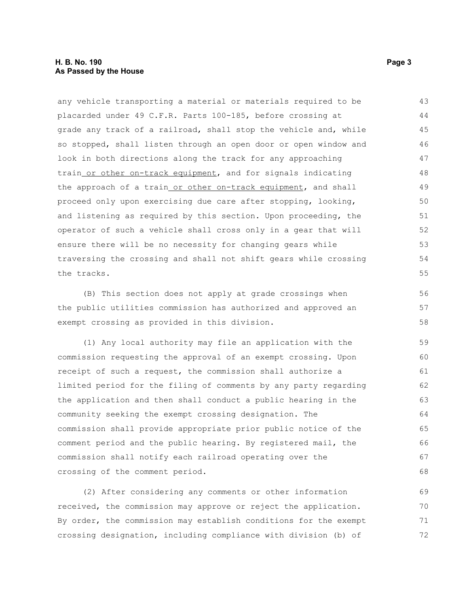#### **H. B. No. 190 Page 3 As Passed by the House**

any vehicle transporting a material or materials required to be placarded under 49 C.F.R. Parts 100-185, before crossing at grade any track of a railroad, shall stop the vehicle and, while so stopped, shall listen through an open door or open window and look in both directions along the track for any approaching train or other on-track equipment, and for signals indicating the approach of a train or other on-track equipment, and shall proceed only upon exercising due care after stopping, looking, and listening as required by this section. Upon proceeding, the operator of such a vehicle shall cross only in a gear that will ensure there will be no necessity for changing gears while traversing the crossing and shall not shift gears while crossing the tracks. 43 44 45 46 47 48 49 50 51 52 53 54 55

(B) This section does not apply at grade crossings when the public utilities commission has authorized and approved an exempt crossing as provided in this division.

(1) Any local authority may file an application with the commission requesting the approval of an exempt crossing. Upon receipt of such a request, the commission shall authorize a limited period for the filing of comments by any party regarding the application and then shall conduct a public hearing in the community seeking the exempt crossing designation. The commission shall provide appropriate prior public notice of the comment period and the public hearing. By registered mail, the commission shall notify each railroad operating over the crossing of the comment period.

(2) After considering any comments or other information received, the commission may approve or reject the application. By order, the commission may establish conditions for the exempt crossing designation, including compliance with division (b) of 69 70 71 72

56 57 58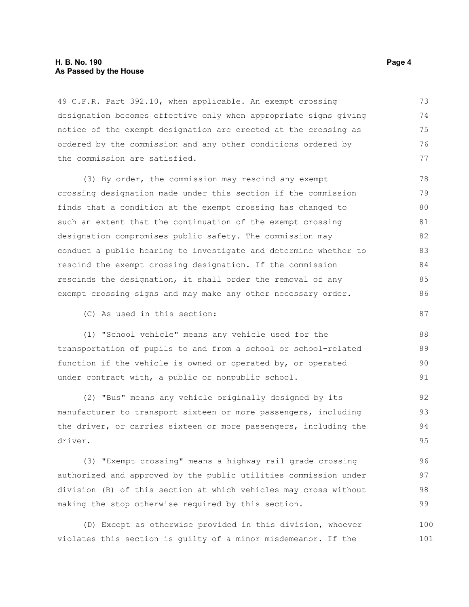#### **H. B. No. 190 Page 4 As Passed by the House**

49 C.F.R. Part 392.10, when applicable. An exempt crossing designation becomes effective only when appropriate signs giving notice of the exempt designation are erected at the crossing as ordered by the commission and any other conditions ordered by the commission are satisfied. 73 74 75 76 77

(3) By order, the commission may rescind any exempt crossing designation made under this section if the commission finds that a condition at the exempt crossing has changed to such an extent that the continuation of the exempt crossing designation compromises public safety. The commission may conduct a public hearing to investigate and determine whether to rescind the exempt crossing designation. If the commission rescinds the designation, it shall order the removal of any exempt crossing signs and may make any other necessary order. 78 79 80 81 82 83 84 85 86

(C) As used in this section:

(1) "School vehicle" means any vehicle used for the transportation of pupils to and from a school or school-related function if the vehicle is owned or operated by, or operated under contract with, a public or nonpublic school.

(2) "Bus" means any vehicle originally designed by its manufacturer to transport sixteen or more passengers, including the driver, or carries sixteen or more passengers, including the driver. 92 93 94 95

(3) "Exempt crossing" means a highway rail grade crossing authorized and approved by the public utilities commission under division (B) of this section at which vehicles may cross without making the stop otherwise required by this section. 96 97 98 99

(D) Except as otherwise provided in this division, whoever violates this section is guilty of a minor misdemeanor. If the 100 101

87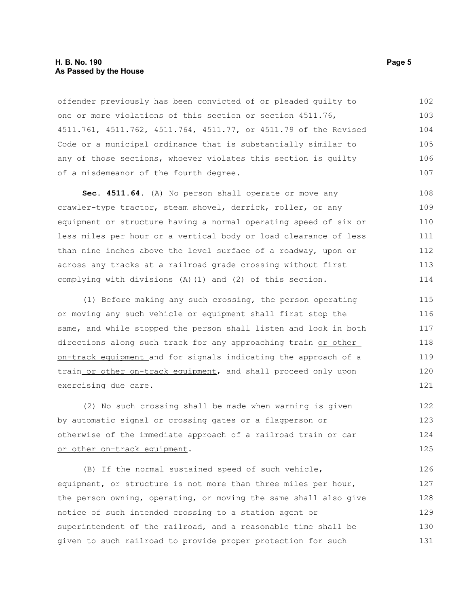#### **H. B. No. 190 Page 5 As Passed by the House**

offender previously has been convicted of or pleaded guilty to one or more violations of this section or section 4511.76, 4511.761, 4511.762, 4511.764, 4511.77, or 4511.79 of the Revised Code or a municipal ordinance that is substantially similar to any of those sections, whoever violates this section is guilty of a misdemeanor of the fourth degree. 102 103 104 105 106 107

**Sec. 4511.64.** (A) No person shall operate or move any crawler-type tractor, steam shovel, derrick, roller, or any equipment or structure having a normal operating speed of six or less miles per hour or a vertical body or load clearance of less than nine inches above the level surface of a roadway, upon or across any tracks at a railroad grade crossing without first complying with divisions (A)(1) and (2) of this section. 108 109 110 111 112 113 114

(1) Before making any such crossing, the person operating or moving any such vehicle or equipment shall first stop the same, and while stopped the person shall listen and look in both directions along such track for any approaching train or other on-track equipment and for signals indicating the approach of a train or other on-track equipment, and shall proceed only upon exercising due care.

(2) No such crossing shall be made when warning is given by automatic signal or crossing gates or a flagperson or otherwise of the immediate approach of a railroad train or car or other on-track equipment. 122 123 124 125

(B) If the normal sustained speed of such vehicle, equipment, or structure is not more than three miles per hour, the person owning, operating, or moving the same shall also give notice of such intended crossing to a station agent or superintendent of the railroad, and a reasonable time shall be given to such railroad to provide proper protection for such 126 127 128 129 130 131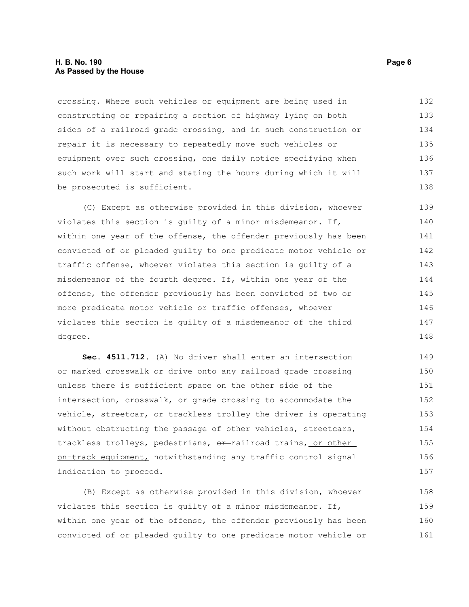#### **H. B. No. 190 Page 6 As Passed by the House**

crossing. Where such vehicles or equipment are being used in constructing or repairing a section of highway lying on both sides of a railroad grade crossing, and in such construction or repair it is necessary to repeatedly move such vehicles or equipment over such crossing, one daily notice specifying when such work will start and stating the hours during which it will be prosecuted is sufficient. 132 133 134 135 136 137 138

(C) Except as otherwise provided in this division, whoever violates this section is guilty of a minor misdemeanor. If, within one year of the offense, the offender previously has been convicted of or pleaded guilty to one predicate motor vehicle or traffic offense, whoever violates this section is guilty of a misdemeanor of the fourth degree. If, within one year of the offense, the offender previously has been convicted of two or more predicate motor vehicle or traffic offenses, whoever violates this section is guilty of a misdemeanor of the third degree. 139 140 141 142 143 144 145 146 147 148

**Sec. 4511.712.** (A) No driver shall enter an intersection or marked crosswalk or drive onto any railroad grade crossing unless there is sufficient space on the other side of the intersection, crosswalk, or grade crossing to accommodate the vehicle, streetcar, or trackless trolley the driver is operating without obstructing the passage of other vehicles, streetcars, trackless trolleys, pedestrians, or railroad trains, or other on-track equipment, notwithstanding any traffic control signal indication to proceed. 149 150 151 152 153 154 155 156 157

(B) Except as otherwise provided in this division, whoever violates this section is guilty of a minor misdemeanor. If, within one year of the offense, the offender previously has been convicted of or pleaded guilty to one predicate motor vehicle or 158 159 160 161